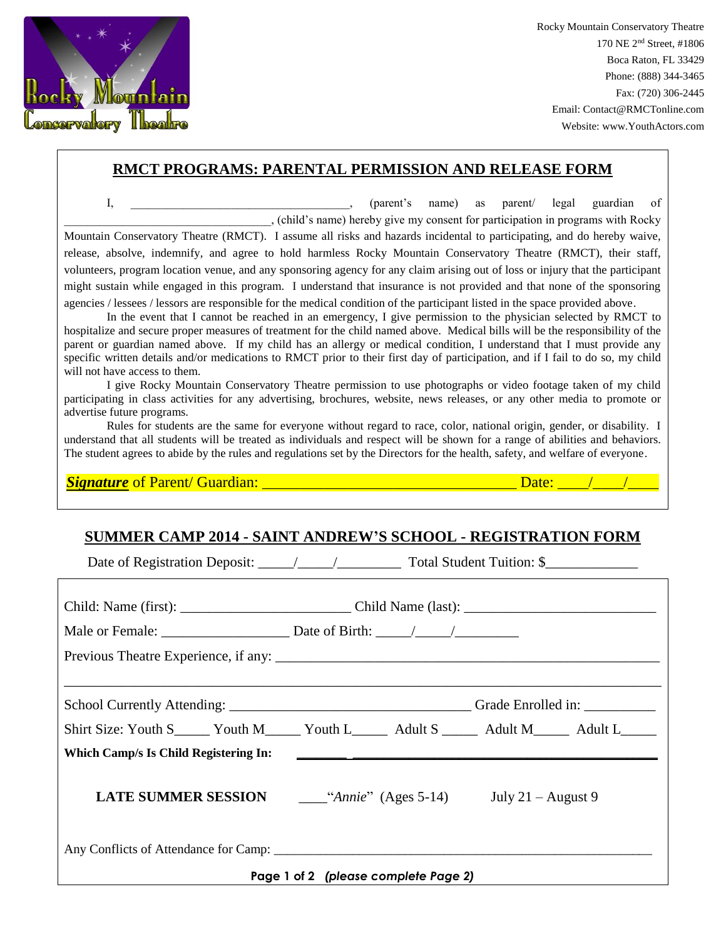

Rocky Mountain Conservatory Theatre 170 NE 2nd Street, #1806 Boca Raton, FL 33429 Phone: (888) 344-3465 Fax: (720) 306-2445 Email: Contact@RMCTonline.com Website: www.YouthActors.com

## **RMCT PROGRAMS: PARENTAL PERMISSION AND RELEASE FORM**

I, \_\_\_\_\_\_\_\_\_\_\_\_\_\_\_\_\_\_\_\_\_\_\_\_\_\_\_\_, (parent's name) as parent/ legal guardian of \_\_\_\_\_\_\_\_\_\_\_\_\_\_\_\_\_\_\_\_\_\_\_\_\_\_\_\_\_\_\_\_\_\_\_, (child's name) hereby give my consent for participation in programs with Rocky Mountain Conservatory Theatre (RMCT). I assume all risks and hazards incidental to participating, and do hereby waive, release, absolve, indemnify, and agree to hold harmless Rocky Mountain Conservatory Theatre (RMCT), their staff, volunteers, program location venue, and any sponsoring agency for any claim arising out of loss or injury that the participant might sustain while engaged in this program. I understand that insurance is not provided and that none of the sponsoring agencies / lessees / lessors are responsible for the medical condition of the participant listed in the space provided above.

In the event that I cannot be reached in an emergency, I give permission to the physician selected by RMCT to hospitalize and secure proper measures of treatment for the child named above. Medical bills will be the responsibility of the parent or guardian named above. If my child has an allergy or medical condition, I understand that I must provide any specific written details and/or medications to RMCT prior to their first day of participation, and if I fail to do so, my child will not have access to them.

I give Rocky Mountain Conservatory Theatre permission to use photographs or video footage taken of my child participating in class activities for any advertising, brochures, website, news releases, or any other media to promote or advertise future programs.

Rules for students are the same for everyone without regard to race, color, national origin, gender, or disability. I understand that all students will be treated as individuals and respect will be shown for a range of abilities and behaviors. The student agrees to abide by the rules and regulations set by the Directors for the health, safety, and welfare of everyone.

*Signature* of Parent/ Guardian: \_\_\_\_\_\_\_\_\_\_\_\_\_\_\_\_\_\_\_\_\_\_\_\_\_\_\_\_\_\_\_\_\_ Date: \_\_\_\_/\_\_\_\_/\_\_\_\_

## **SUMMER CAMP 2014 - SAINT ANDREW'S SCHOOL - REGISTRATION FORM**

Date of Registration Deposit: \_\_\_\_\_/\_\_\_\_\_/\_\_\_\_\_\_\_\_\_ Total Student Tuition: \$\_\_\_\_\_\_\_\_\_\_\_\_\_

|                                      | <b>LATE SUMMER SESSION</b> $\qquad \qquad$ "Annie" (Ages 5-14) July 21 – August 9 |  |  |  |
|--------------------------------------|-----------------------------------------------------------------------------------|--|--|--|
|                                      |                                                                                   |  |  |  |
| Page 1 of 2 (please complete Page 2) |                                                                                   |  |  |  |